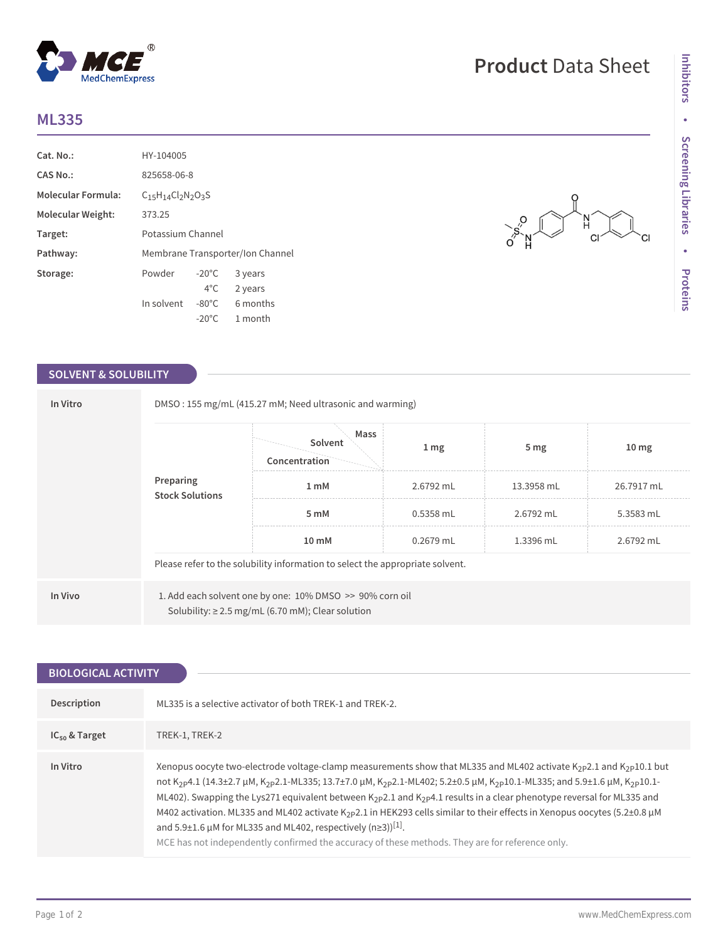## **ML335**

| Cat. No.                  | HY-104005                        |                 |          |
|---------------------------|----------------------------------|-----------------|----------|
| CAS No.:                  | 825658-06-8                      |                 |          |
| <b>Molecular Formula:</b> | $C15H14Cl2N2O3S$                 |                 |          |
| Molecular Weight:         | 373.25                           |                 |          |
| Target:                   | Potassium Channel                |                 |          |
| Pathway:                  | Membrane Transporter/Ion Channel |                 |          |
| Storage:                  | Powder                           | $-20^{\circ}$ C | 3 years  |
|                           |                                  | $4^{\circ}$ C   | 2 years  |
|                           | In solvent                       | $-80^{\circ}$ C | 6 months |
|                           |                                  | $-20^{\circ}$ C | 1 month  |

 $^{\circledR}$ 

MedChemExpress

### **SOLVENT & SOLUBILITY**

| Preparing<br><b>Stock Solutions</b> |                                                                               | Mass<br>Solvent<br>Concentration                                                                                   | $1 \, \text{mg}$ | 5 <sub>mg</sub> | 10 <sub>mg</sub> |  |
|-------------------------------------|-------------------------------------------------------------------------------|--------------------------------------------------------------------------------------------------------------------|------------------|-----------------|------------------|--|
|                                     | 1 mM                                                                          | 2.6792 mL                                                                                                          | 13.3958 mL       | 26.7917 mL      |                  |  |
|                                     |                                                                               | 5 mM                                                                                                               | $0.5358$ mL      | 2.6792 mL       | 5.3583 mL        |  |
|                                     | 10 mM                                                                         | $0.2679$ mL                                                                                                        | 1.3396 mL        | 2.6792 mL       |                  |  |
|                                     | Please refer to the solubility information to select the appropriate solvent. |                                                                                                                    |                  |                 |                  |  |
| In Vivo                             |                                                                               | 1. Add each solvent one by one: 10% DMSO >> 90% corn oil<br>Solubility: $\geq$ 2.5 mg/mL (6.70 mM); Clear solution |                  |                 |                  |  |

| <b>BIOLOGICAL ACTIVITY</b> |                                                                                                                                                                                                                                                                                                                                                                                                                                                                                                                                                                                                                                                                                                                                                                                                      |  |  |
|----------------------------|------------------------------------------------------------------------------------------------------------------------------------------------------------------------------------------------------------------------------------------------------------------------------------------------------------------------------------------------------------------------------------------------------------------------------------------------------------------------------------------------------------------------------------------------------------------------------------------------------------------------------------------------------------------------------------------------------------------------------------------------------------------------------------------------------|--|--|
|                            |                                                                                                                                                                                                                                                                                                                                                                                                                                                                                                                                                                                                                                                                                                                                                                                                      |  |  |
| Description                | ML335 is a selective activator of both TREK-1 and TREK-2.                                                                                                                                                                                                                                                                                                                                                                                                                                                                                                                                                                                                                                                                                                                                            |  |  |
| $IC_{50}$ & Target         | TREK-1, TREK-2                                                                                                                                                                                                                                                                                                                                                                                                                                                                                                                                                                                                                                                                                                                                                                                       |  |  |
| In Vitro                   | Xenopus oocyte two-electrode voltage-clamp measurements show that ML335 and ML402 activate $K_{2P}2.1$ and $K_{2P}10.1$ but<br>not K <sub>2P</sub> 4.1 (14.3±2.7 µM, K <sub>2P</sub> 2.1-ML335; 13.7±7.0 µM, K <sub>2P</sub> 2.1-ML402; 5.2±0.5 µM, K <sub>2P</sub> 10.1-ML335; and 5.9±1.6 µM, K <sub>2P</sub> 10.1-<br>ML402). Swapping the Lys271 equivalent between K <sub>2P</sub> 2.1 and K <sub>2P</sub> 4.1 results in a clear phenotype reversal for ML335 and<br>M402 activation. ML335 and ML402 activate K <sub>2</sub> p2.1 in HEK293 cells similar to their effects in Xenopus oocytes (5.2±0.8 µM<br>and 5.9±1.6 $\mu$ M for ML335 and ML402, respectively (n≥3)) <sup>[1]</sup> .<br>MCE has not independently confirmed the accuracy of these methods. They are for reference only. |  |  |

# **Product** Data Sheet

N  $CI$ 

 $O\frac{S}{S}$ 

СI